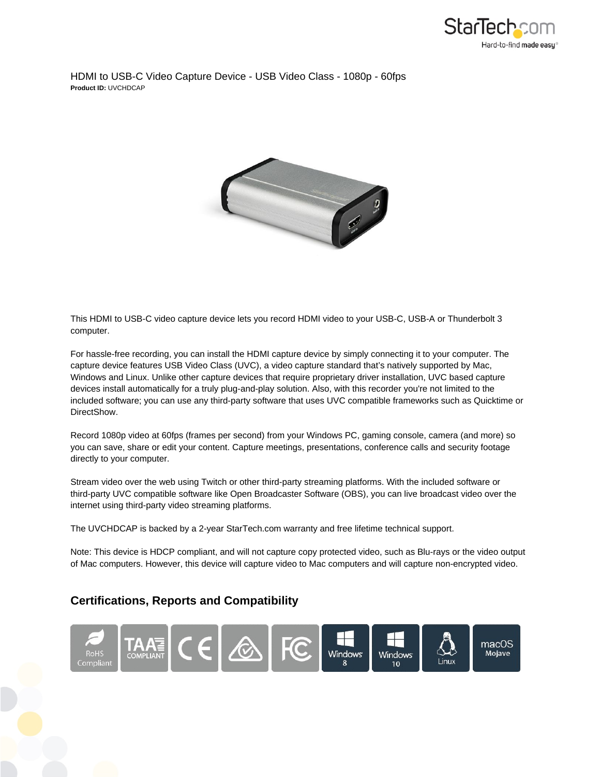

HDMI to USB-C Video Capture Device - USB Video Class - 1080p - 60fps **Product ID:** UVCHDCAP



This HDMI to USB-C video capture device lets you record HDMI video to your USB-C, USB-A or Thunderbolt 3 computer.

For hassle-free recording, you can install the HDMI capture device by simply connecting it to your computer. The capture device features USB Video Class (UVC), a video capture standard that's natively supported by Mac, Windows and Linux. Unlike other capture devices that require proprietary driver installation, UVC based capture devices install automatically for a truly plug-and-play solution. Also, with this recorder you're not limited to the included software; you can use any third-party software that uses UVC compatible frameworks such as Quicktime or DirectShow.

Record 1080p video at 60fps (frames per second) from your Windows PC, gaming console, camera (and more) so you can save, share or edit your content. Capture meetings, presentations, conference calls and security footage directly to your computer.

Stream video over the web using Twitch or other third-party streaming platforms. With the included software or third-party UVC compatible software like Open Broadcaster Software (OBS), you can live broadcast video over the internet using third-party video streaming platforms.

The UVCHDCAP is backed by a 2-year StarTech.com warranty and free lifetime technical support.

Note: This device is HDCP compliant, and will not capture copy protected video, such as Blu-rays or the video output of Mac computers. However, this device will capture video to Mac computers and will capture non-encrypted video.

## **Certifications, Reports and Compatibility**

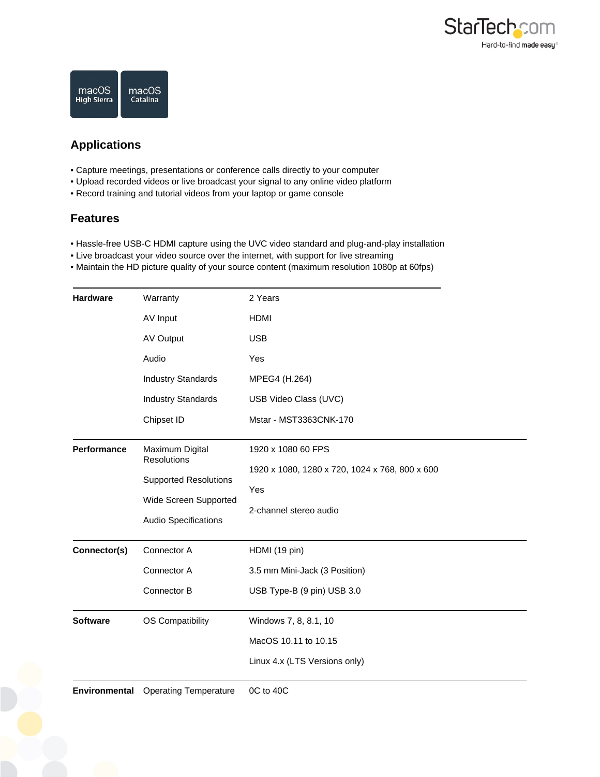



## **Applications**

- Capture meetings, presentations or conference calls directly to your computer
- Upload recorded videos or live broadcast your signal to any online video platform
- Record training and tutorial videos from your laptop or game console

## **Features**

- Hassle-free USB-C HDMI capture using the UVC video standard and plug-and-play installation
- Live broadcast your video source over the internet, with support for live streaming
- Maintain the HD picture quality of your source content (maximum resolution 1080p at 60fps)

| <b>Hardware</b> | Warranty                     | 2 Years                                        |
|-----------------|------------------------------|------------------------------------------------|
|                 | AV Input                     | <b>HDMI</b>                                    |
|                 | AV Output                    | <b>USB</b>                                     |
|                 | Audio                        | Yes                                            |
|                 | <b>Industry Standards</b>    | MPEG4 (H.264)                                  |
|                 | <b>Industry Standards</b>    | USB Video Class (UVC)                          |
|                 | Chipset ID                   | Mstar - MST3363CNK-170                         |
| Performance     | Maximum Digital              | 1920 x 1080 60 FPS                             |
|                 | <b>Resolutions</b>           | 1920 x 1080, 1280 x 720, 1024 x 768, 800 x 600 |
|                 | <b>Supported Resolutions</b> | Yes                                            |
|                 | Wide Screen Supported        | 2-channel stereo audio                         |
|                 | Audio Specifications         |                                                |
| Connector(s)    | Connector A                  | HDMI (19 pin)                                  |
|                 | Connector A                  | 3.5 mm Mini-Jack (3 Position)                  |
|                 | Connector B                  | USB Type-B (9 pin) USB 3.0                     |
| <b>Software</b> | <b>OS Compatibility</b>      | Windows 7, 8, 8.1, 10                          |
|                 |                              | MacOS 10.11 to 10.15                           |
|                 |                              | Linux 4.x (LTS Versions only)                  |
|                 |                              |                                                |

**Environmental** Operating Temperature 0C to 40C